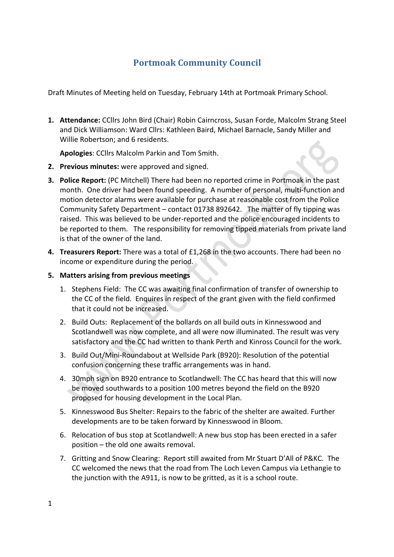# **Portmoak Community Council**

Draft Minutes of Meeting held on Tuesday, February 14th at Portmoak Primary School.

1. Attendance: CCllrs John Bird (Chair) Robin Cairncross, Susan Forde, Malcolm Strang Steel and Dick Williamson: Ward Cllrs: Kathleen Baird, Michael Barnacle, Sandy Miller and Willie Robertson; and 6 residents.

Apologies: CCllrs Malcolm Parkin and Tom Smith.

- **2.** Previous minutes: were approved and signed.
- **3. Police Report:** (PC Mitchell) There had been no reported crime in Portmoak in the past month. One driver had been found speeding. A number of personal, multi-function and motion detector alarms were available for purchase at reasonable cost from the Police Community Safety Department – contact 01738 892642. The matter of fly tipping was raised. This was believed to be under-reported and the police encouraged incidents to be reported to them. The responsibility for removing tipped materials from private land is that of the owner of the land.
- **4. Treasurers Report:** There was a total of £1,268 in the two accounts. There had been no income or expenditure during the period.

### **5. Matters arising from previous meetings**

- 1. Stephens Field: The CC was awaiting final confirmation of transfer of ownership to the CC of the field. Enquires in respect of the grant given with the field confirmed that it could not be increased.
- 2. Build Outs: Replacement of the bollards on all build outs in Kinnesswood and Scotlandwell was now complete, and all were now illuminated. The result was very satisfactory and the CC had written to thank Perth and Kinross Council for the work.
- 3. Build Out/Mini-Roundabout at Wellside Park (B920): Resolution of the potential confusion concerning these traffic arrangements was in hand.
- 4. 30mph sign on B920 entrance to Scotlandwell: The CC has heard that this will now be moved southwards to a position 100 metres beyond the field on the B920 proposed for housing development in the Local Plan.
- 5. Kinnesswood Bus Shelter: Repairs to the fabric of the shelter are awaited. Further developments are to be taken forward by Kinnesswood in Bloom.
- 6. Relocation of bus stop at Scotlandwell: A new bus stop has been erected in a safer position  $-$  the old one awaits removal.
- 7. Gritting and Snow Clearing: Report still awaited from Mr Stuart D'All of P&KC. The CC welcomed the news that the road from The Loch Leven Campus via Lethangie to the junction with the A911, is now to be gritted, as it is a school route.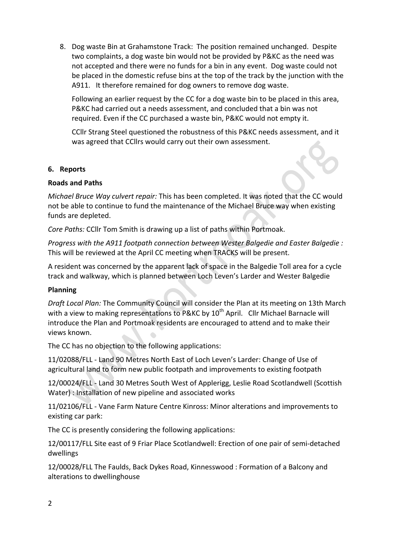8. Dog waste Bin at Grahamstone Track: The position remained unchanged. Despite two complaints, a dog waste bin would not be provided by P&KC as the need was not accepted and there were no funds for a bin in any event. Dog waste could not be placed in the domestic refuse bins at the top of the track by the junction with the A911. It therefore remained for dog owners to remove dog waste.

Following an earlier request by the CC for a dog waste bin to be placed in this area, P&KC had carried out a needs assessment, and concluded that a bin was not required. Even if the CC purchased a waste bin, P&KC would not empty it.

CCIIr Strang Steel questioned the robustness of this P&KC needs assessment, and it was agreed that CCllrs would carry out their own assessment.

#### **6. Reports**

### **Roads and Paths**

*Michael Bruce Way culvert repair:* This has been completed. It was noted that the CC would not be able to continue to fund the maintenance of the Michael Bruce way when existing funds are depleted.

*Core Paths:* CCllr Tom Smith is drawing up a list of paths within Portmoak.

*Progress with the A911 footpath connection between Wester Balgedie and Easter Balgedie :* This will be reviewed at the April CC meeting when TRACKS will be present.

A resident was concerned by the apparent lack of space in the Balgedie Toll area for a cycle track and walkway, which is planned between Loch Leven's Larder and Wester Balgedie

## **Planning**

Draft Local Plan: The Community Council will consider the Plan at its meeting on 13th March with a view to making representations to P&KC by  $10^{th}$  April. Cllr Michael Barnacle will introduce the Plan and Portmoak residents are encouraged to attend and to make their views known.

The CC has no objection to the following applications:

11/02088/FLL - Land 90 Metres North East of Loch Leven's Larder: Change of Use of agricultural land to form new public footpath and improvements to existing footpath

12/00024/FLL - Land 30 Metres South West of Applerigg, Leslie Road Scotlandwell (Scottish Water) : Installation of new pipeline and associated works

11/02106/FLL - Vane Farm Nature Centre Kinross: Minor alterations and improvements to existing car park:

The CC is presently considering the following applications:

12/00117/FLL Site east of 9 Friar Place Scotlandwell: Erection of one pair of semi-detached dwellings

12/00028/FLL The Faulds, Back Dykes Road, Kinnesswood : Formation of a Balcony and alterations to dwellinghouse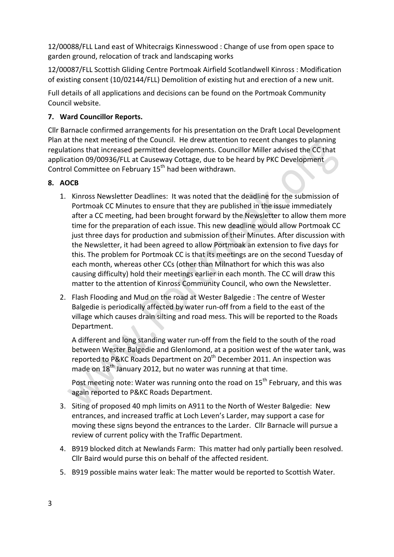12/00088/FLL Land east of Whitecraigs Kinnesswood : Change of use from open space to garden ground, relocation of track and landscaping works

12/00087/FLL Scottish Gliding Centre Portmoak Airfield Scotlandwell Kinross : Modification of existing consent (10/02144/FLL) Demolition of existing hut and erection of a new unit.

Full details of all applications and decisions can be found on the Portmoak Community Council website.

# **7. Ward Councillor Reports.**

Cllr Barnacle confirmed arrangements for his presentation on the Draft Local Development Plan at the next meeting of the Council. He drew attention to recent changes to planning regulations that increased permitted developments. Councillor Miller advised the CC that application 09/00936/FLL at Causeway Cottage, due to be heard by PKC Development Control Committee on February 15<sup>th</sup> had been withdrawn.

# **8. AOCB**

- 1. Kinross Newsletter Deadlines: It was noted that the deadline for the submission of Portmoak CC Minutes to ensure that they are published in the issue immediately after a CC meeting, had been brought forward by the Newsletter to allow them more time for the preparation of each issue. This new deadline would allow Portmoak CC just three days for production and submission of their Minutes. After discussion with the Newsletter, it had been agreed to allow Portmoak an extension to five days for this. The problem for Portmoak CC is that its meetings are on the second Tuesday of each month, whereas other CCs (other than Milnathort for which this was also causing difficulty) hold their meetings earlier in each month. The CC will draw this matter to the attention of Kinross Community Council, who own the Newsletter.
- 2. Flash Flooding and Mud on the road at Wester Balgedie : The centre of Wester Balgedie is periodically affected by water run-off from a field to the east of the village which causes drain silting and road mess. This will be reported to the Roads Department.

A different and long standing water run-off from the field to the south of the road between Wester Balgedie and Glenlomond, at a position west of the water tank, was reported to P&KC Roads Department on 20<sup>th</sup> December 2011. An inspection was made on  $18<sup>th</sup>$  January 2012, but no water was running at that time.

Post meeting note: Water was running onto the road on 15<sup>th</sup> February, and this was again reported to P&KC Roads Department.

- 3. Siting of proposed 40 mph limits on A911 to the North of Wester Balgedie: New entrances, and increased traffic at Loch Leven's Larder, may support a case for moving these signs beyond the entrances to the Larder. Cllr Barnacle will pursue a review of current policy with the Traffic Department.
- 4. B919 blocked ditch at Newlands Farm: This matter had only partially been resolved. Cllr Baird would purse this on behalf of the affected resident.
- 5. B919 possible mains water leak: The matter would be reported to Scottish Water.